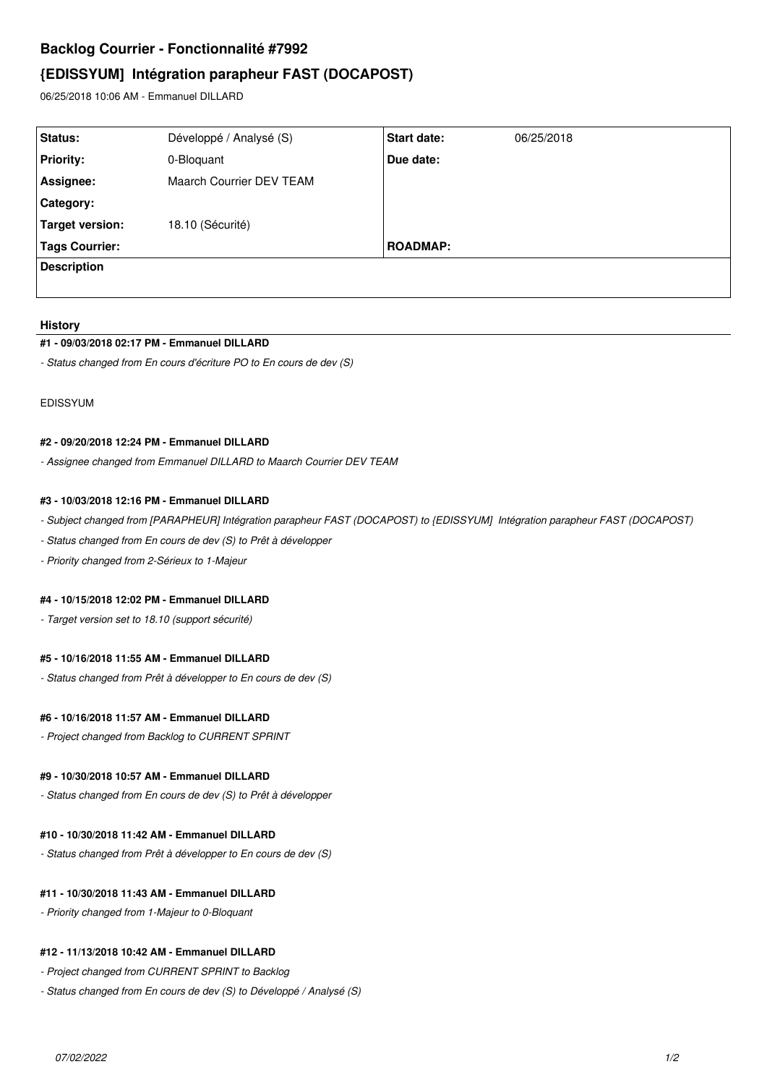## **Backlog Courrier - Fonctionnalité #7992**

# **{EDISSYUM] Intégration parapheur FAST (DOCAPOST)**

06/25/2018 10:06 AM - Emmanuel DILLARD

| Status:            | Développé / Analysé (S)  | <b>Start date:</b> | 06/25/2018 |
|--------------------|--------------------------|--------------------|------------|
| <b>Priority:</b>   | 0-Bloquant               | Due date:          |            |
| Assignee:          | Maarch Courrier DEV TEAM |                    |            |
| Category:          |                          |                    |            |
| Target version:    | 18.10 (Sécurité)         |                    |            |
| Tags Courrier:     |                          | <b>ROADMAP:</b>    |            |
| <b>Description</b> |                          |                    |            |
|                    |                          |                    |            |

#### **History**

#### **#1 - 09/03/2018 02:17 PM - Emmanuel DILLARD**

*- Status changed from En cours d'écriture PO to En cours de dev (S)*

EDISSYUM

#### **#2 - 09/20/2018 12:24 PM - Emmanuel DILLARD**

*- Assignee changed from Emmanuel DILLARD to Maarch Courrier DEV TEAM*

#### **#3 - 10/03/2018 12:16 PM - Emmanuel DILLARD**

*- Subject changed from [PARAPHEUR] Intégration parapheur FAST (DOCAPOST) to {EDISSYUM] Intégration parapheur FAST (DOCAPOST)*

- *Status changed from En cours de dev (S) to Prêt à développer*
- *Priority changed from 2-Sérieux to 1-Majeur*

#### **#4 - 10/15/2018 12:02 PM - Emmanuel DILLARD**

*- Target version set to 18.10 (support sécurité)*

#### **#5 - 10/16/2018 11:55 AM - Emmanuel DILLARD**

*- Status changed from Prêt à développer to En cours de dev (S)*

#### **#6 - 10/16/2018 11:57 AM - Emmanuel DILLARD**

*- Project changed from Backlog to CURRENT SPRINT*

#### **#9 - 10/30/2018 10:57 AM - Emmanuel DILLARD**

*- Status changed from En cours de dev (S) to Prêt à développer*

#### **#10 - 10/30/2018 11:42 AM - Emmanuel DILLARD**

*- Status changed from Prêt à développer to En cours de dev (S)*

### **#11 - 10/30/2018 11:43 AM - Emmanuel DILLARD**

*- Priority changed from 1-Majeur to 0-Bloquant*

#### **#12 - 11/13/2018 10:42 AM - Emmanuel DILLARD**

- *Project changed from CURRENT SPRINT to Backlog*
- *Status changed from En cours de dev (S) to Développé / Analysé (S)*